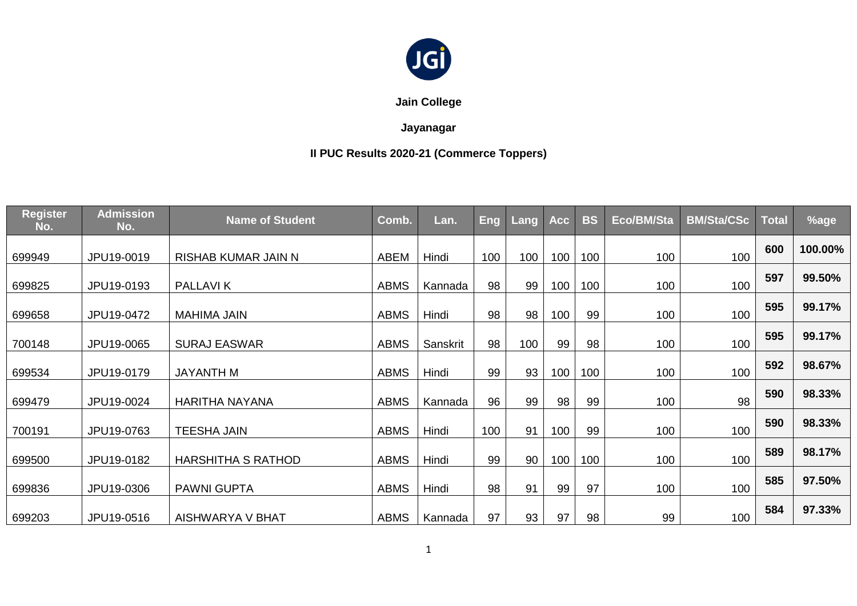

**Jain College**

## **Jayanagar**

# **II PUC Results 2020-21 (Commerce Toppers)**

| <b>Register</b><br>No. | <b>Admission</b><br>No. | <b>Name of Student</b>    | Comb.       | Lan.     | Eng | Lang | <b>Acc</b> | <b>BS</b> | Eco/BM/Sta | <b>BM/Sta/CSc</b> | <b>Total</b> | %age    |
|------------------------|-------------------------|---------------------------|-------------|----------|-----|------|------------|-----------|------------|-------------------|--------------|---------|
| 699949                 | JPU19-0019              | RISHAB KUMAR JAIN N       | <b>ABEM</b> | Hindi    | 100 | 100  | 100        | 100       | 100        | 100               | 600          | 100.00% |
| 699825                 | JPU19-0193              | <b>PALLAVIK</b>           | <b>ABMS</b> | Kannada  | 98  | 99   | 100        | 100       | 100        | 100               | 597          | 99.50%  |
| 699658                 | JPU19-0472              | MAHIMA JAIN               | <b>ABMS</b> | Hindi    | 98  | 98   | 100        | 99        | 100        | 100               | 595          | 99.17%  |
| 700148                 | JPU19-0065              | <b>SURAJ EASWAR</b>       | <b>ABMS</b> | Sanskrit | 98  | 100  | 99         | 98        | 100        | 100               | 595          | 99.17%  |
| 699534                 | JPU19-0179              | JAYANTH M                 | <b>ABMS</b> | Hindi    | 99  | 93   | 100        | 100       | 100        | 100               | 592          | 98.67%  |
| 699479                 | JPU19-0024              | <b>HARITHA NAYANA</b>     | <b>ABMS</b> | Kannada  | 96  | 99   | 98         | 99        | 100        | 98                | 590          | 98.33%  |
| 700191                 | JPU19-0763              | <b>TEESHA JAIN</b>        | <b>ABMS</b> | Hindi    | 100 | 91   | 100        | 99        | 100        | 100               | 590          | 98.33%  |
| 699500                 | JPU19-0182              | <b>HARSHITHA S RATHOD</b> | <b>ABMS</b> | Hindi    | 99  | 90   | 100        | 100       | 100        | 100               | 589          | 98.17%  |
| 699836                 | JPU19-0306              | <b>PAWNI GUPTA</b>        | <b>ABMS</b> | Hindi    | 98  | 91   | 99         | 97        | 100        | 100               | 585          | 97.50%  |
| 699203                 | JPU19-0516              | AISHWARYA V BHAT          | <b>ABMS</b> | Kannada  | 97  | 93   | 97         | 98        | 99         | 100               | 584          | 97.33%  |